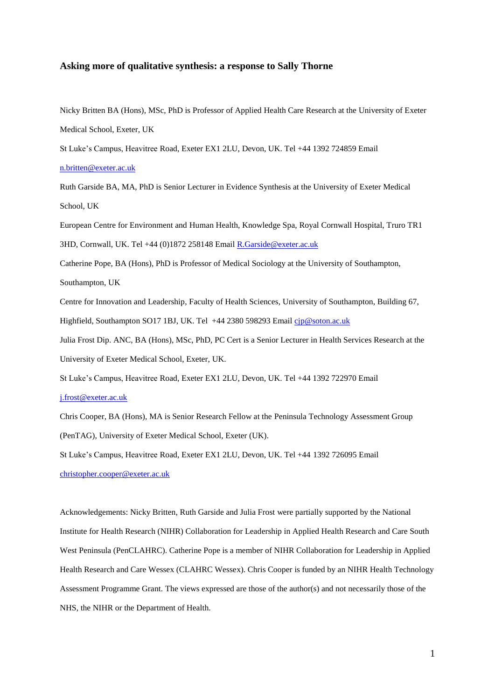#### **Asking more of qualitative synthesis: a response to Sally Thorne**

Nicky Britten BA (Hons), MSc, PhD is Professor of Applied Health Care Research at the University of Exeter Medical School, Exeter, UK

St Luke's Campus, Heavitree Road, Exeter EX1 2LU, Devon, UK. Tel +44 1392 724859 Email

[n.britten@exeter.ac.uk](mailto:n.britten@exeter.ac.uk)

Ruth Garside BA, MA, PhD is Senior Lecturer in Evidence Synthesis at the University of Exeter Medical School, UK

European Centre for Environment and Human Health, Knowledge Spa, Royal Cornwall Hospital, Truro TR1 3HD, Cornwall, UK. Tel +44 (0)1872 258148 Email [R.Garside@exeter.ac.uk](mailto:R.Garside@exeter.ac.uk)

Catherine Pope, BA (Hons), PhD is Professor of Medical Sociology at the University of Southampton,

Southampton, UK

Centre for Innovation and Leadership, Faculty of Health Sciences, University of Southampton, Building 67, Highfield, Southampton SO17 1BJ, UK. Tel +44 2380 598293 Email [cjp@soton.ac.uk](mailto:cjp@soton.ac.uk)

Julia Frost Dip. ANC, BA (Hons), MSc, PhD, PC Cert is a Senior Lecturer in Health Services Research at the University of Exeter Medical School, Exeter, UK.

St Luke's Campus, Heavitree Road, Exeter EX1 2LU, Devon, UK. Tel +44 1392 722970 Email

#### [j.frost@exeter.ac.uk](mailto:j.frost@exeter.ac.uk)

Chris Cooper, BA (Hons), MA is Senior Research Fellow at the Peninsula Technology Assessment Group (PenTAG), University of Exeter Medical School, Exeter (UK).

St Luke's Campus, Heavitree Road, Exeter EX1 2LU, Devon, UK. Tel +44 1392 726095 Email [christopher.cooper@exeter.ac.uk](mailto:christopher.cooper@exeter.ac.uk)

Acknowledgements: Nicky Britten, Ruth Garside and Julia Frost were partially supported by the National Institute for Health Research (NIHR) Collaboration for Leadership in Applied Health Research and Care South West Peninsula (PenCLAHRC). Catherine Pope is a member of NIHR Collaboration for Leadership in Applied Health Research and Care Wessex (CLAHRC Wessex). Chris Cooper is funded by an NIHR Health Technology Assessment Programme Grant. The views expressed are those of the author(s) and not necessarily those of the NHS, the NIHR or the Department of Health.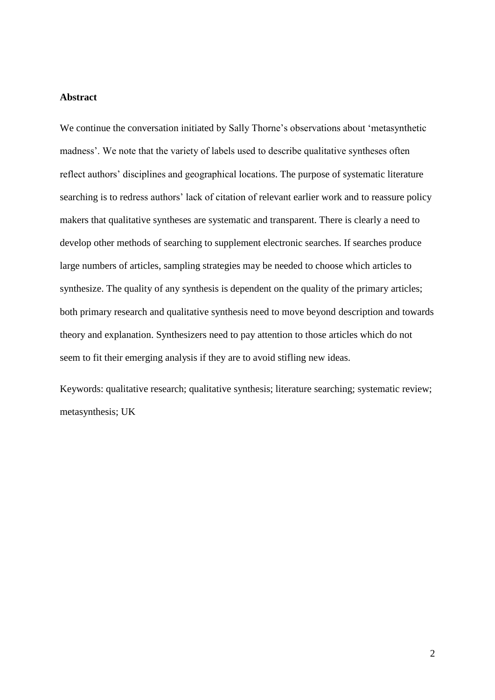# **Abstract**

We continue the conversation initiated by Sally Thorne's observations about 'metasynthetic madness'. We note that the variety of labels used to describe qualitative syntheses often reflect authors' disciplines and geographical locations. The purpose of systematic literature searching is to redress authors' lack of citation of relevant earlier work and to reassure policy makers that qualitative syntheses are systematic and transparent. There is clearly a need to develop other methods of searching to supplement electronic searches. If searches produce large numbers of articles, sampling strategies may be needed to choose which articles to synthesize. The quality of any synthesis is dependent on the quality of the primary articles; both primary research and qualitative synthesis need to move beyond description and towards theory and explanation. Synthesizers need to pay attention to those articles which do not seem to fit their emerging analysis if they are to avoid stifling new ideas.

Keywords: qualitative research; qualitative synthesis; literature searching; systematic review; metasynthesis; UK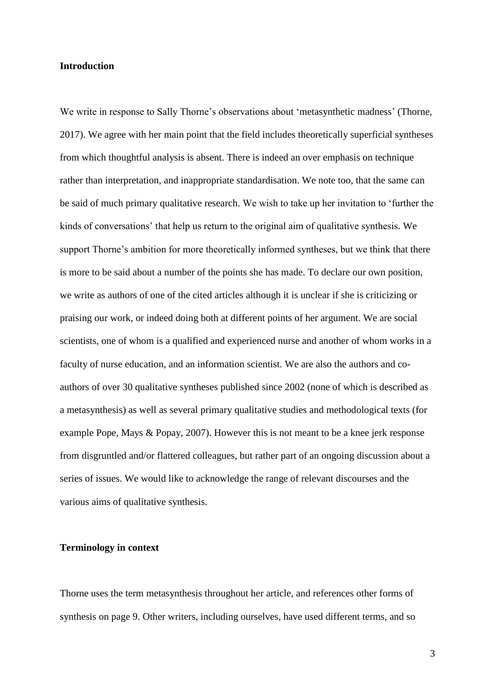### **Introduction**

We write in response to Sally Thorne's observations about 'metasynthetic madness' (Thorne, 2017). We agree with her main point that the field includes theoretically superficial syntheses from which thoughtful analysis is absent. There is indeed an over emphasis on technique rather than interpretation, and inappropriate standardisation. We note too, that the same can be said of much primary qualitative research. We wish to take up her invitation to 'further the kinds of conversations' that help us return to the original aim of qualitative synthesis. We support Thorne's ambition for more theoretically informed syntheses, but we think that there is more to be said about a number of the points she has made. To declare our own position, we write as authors of one of the cited articles although it is unclear if she is criticizing or praising our work, or indeed doing both at different points of her argument. We are social scientists, one of whom is a qualified and experienced nurse and another of whom works in a faculty of nurse education, and an information scientist. We are also the authors and coauthors of over 30 qualitative syntheses published since 2002 (none of which is described as a metasynthesis) as well as several primary qualitative studies and methodological texts (for example Pope, Mays & Popay, 2007). However this is not meant to be a knee jerk response from disgruntled and/or flattered colleagues, but rather part of an ongoing discussion about a series of issues. We would like to acknowledge the range of relevant discourses and the various aims of qualitative synthesis.

### **Terminology in context**

Thorne uses the term metasynthesis throughout her article, and references other forms of synthesis on page 9. Other writers, including ourselves, have used different terms, and so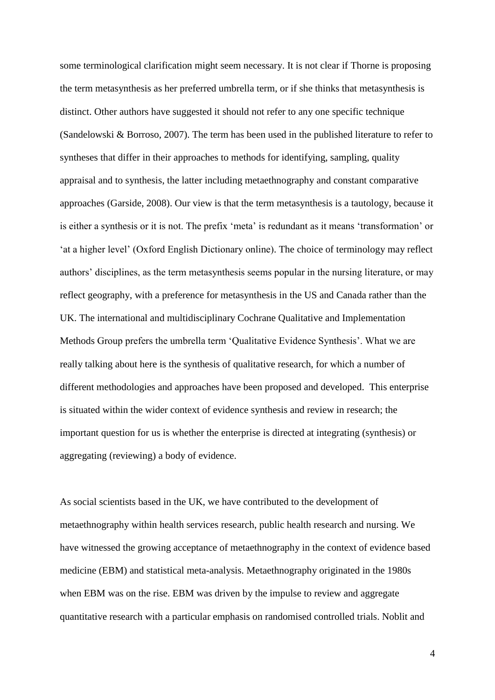some terminological clarification might seem necessary. It is not clear if Thorne is proposing the term metasynthesis as her preferred umbrella term, or if she thinks that metasynthesis is distinct. Other authors have suggested it should not refer to any one specific technique (Sandelowski & Borroso, 2007). The term has been used in the published literature to refer to syntheses that differ in their approaches to methods for identifying, sampling, quality appraisal and to synthesis, the latter including metaethnography and constant comparative approaches (Garside, 2008). Our view is that the term metasynthesis is a tautology, because it is either a synthesis or it is not. The prefix 'meta' is redundant as it means 'transformation' or 'at a higher level' (Oxford English Dictionary online). The choice of terminology may reflect authors' disciplines, as the term metasynthesis seems popular in the nursing literature, or may reflect geography, with a preference for metasynthesis in the US and Canada rather than the UK. The international and multidisciplinary Cochrane Qualitative and Implementation Methods Group prefers the umbrella term 'Qualitative Evidence Synthesis'. What we are really talking about here is the synthesis of qualitative research, for which a number of different methodologies and approaches have been proposed and developed. This enterprise is situated within the wider context of evidence synthesis and review in research; the important question for us is whether the enterprise is directed at integrating (synthesis) or aggregating (reviewing) a body of evidence.

As social scientists based in the UK, we have contributed to the development of metaethnography within health services research, public health research and nursing. We have witnessed the growing acceptance of metaethnography in the context of evidence based medicine (EBM) and statistical meta-analysis. Metaethnography originated in the 1980s when EBM was on the rise. EBM was driven by the impulse to review and aggregate quantitative research with a particular emphasis on randomised controlled trials. Noblit and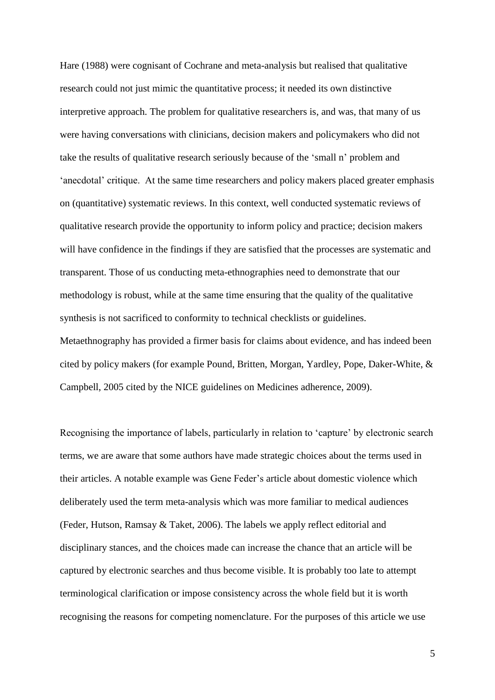Hare (1988) were cognisant of Cochrane and meta-analysis but realised that qualitative research could not just mimic the quantitative process; it needed its own distinctive interpretive approach. The problem for qualitative researchers is, and was, that many of us were having conversations with clinicians, decision makers and policymakers who did not take the results of qualitative research seriously because of the 'small n' problem and 'anecdotal' critique. At the same time researchers and policy makers placed greater emphasis on (quantitative) systematic reviews. In this context, well conducted systematic reviews of qualitative research provide the opportunity to inform policy and practice; decision makers will have confidence in the findings if they are satisfied that the processes are systematic and transparent. Those of us conducting meta-ethnographies need to demonstrate that our methodology is robust, while at the same time ensuring that the quality of the qualitative synthesis is not sacrificed to conformity to technical checklists or guidelines. Metaethnography has provided a firmer basis for claims about evidence, and has indeed been cited by policy makers (for example Pound, Britten, Morgan, Yardley, Pope, Daker-White, & Campbell, 2005 cited by the NICE guidelines on Medicines adherence, 2009).

Recognising the importance of labels, particularly in relation to 'capture' by electronic search terms, we are aware that some authors have made strategic choices about the terms used in their articles. A notable example was Gene Feder's article about domestic violence which deliberately used the term meta-analysis which was more familiar to medical audiences (Feder, Hutson, Ramsay & Taket, 2006). The labels we apply reflect editorial and disciplinary stances, and the choices made can increase the chance that an article will be captured by electronic searches and thus become visible. It is probably too late to attempt terminological clarification or impose consistency across the whole field but it is worth recognising the reasons for competing nomenclature. For the purposes of this article we use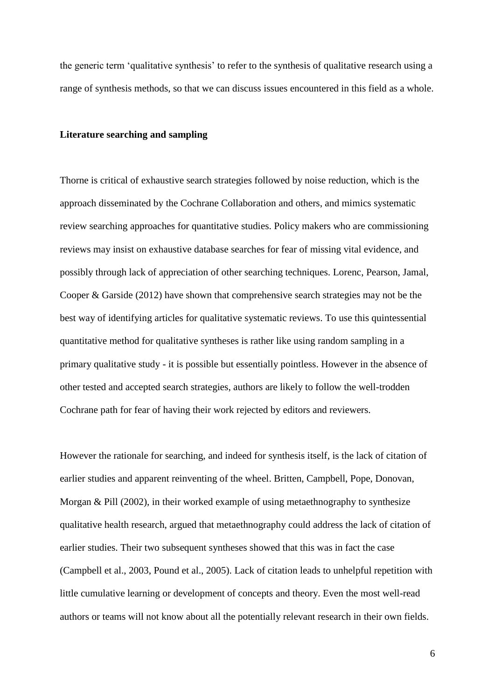the generic term 'qualitative synthesis' to refer to the synthesis of qualitative research using a range of synthesis methods, so that we can discuss issues encountered in this field as a whole.

#### **Literature searching and sampling**

Thorne is critical of exhaustive search strategies followed by noise reduction, which is the approach disseminated by the Cochrane Collaboration and others, and mimics systematic review searching approaches for quantitative studies. Policy makers who are commissioning reviews may insist on exhaustive database searches for fear of missing vital evidence, and possibly through lack of appreciation of other searching techniques. Lorenc, Pearson, Jamal, Cooper & Garside (2012) have shown that comprehensive search strategies may not be the best way of identifying articles for qualitative systematic reviews. To use this quintessential quantitative method for qualitative syntheses is rather like using random sampling in a primary qualitative study - it is possible but essentially pointless. However in the absence of other tested and accepted search strategies, authors are likely to follow the well-trodden Cochrane path for fear of having their work rejected by editors and reviewers.

However the rationale for searching, and indeed for synthesis itself, is the lack of citation of earlier studies and apparent reinventing of the wheel. Britten, Campbell, Pope, Donovan, Morgan & Pill (2002), in their worked example of using metaethnography to synthesize qualitative health research, argued that metaethnography could address the lack of citation of earlier studies. Their two subsequent syntheses showed that this was in fact the case (Campbell et al., 2003, Pound et al., 2005). Lack of citation leads to unhelpful repetition with little cumulative learning or development of concepts and theory. Even the most well-read authors or teams will not know about all the potentially relevant research in their own fields.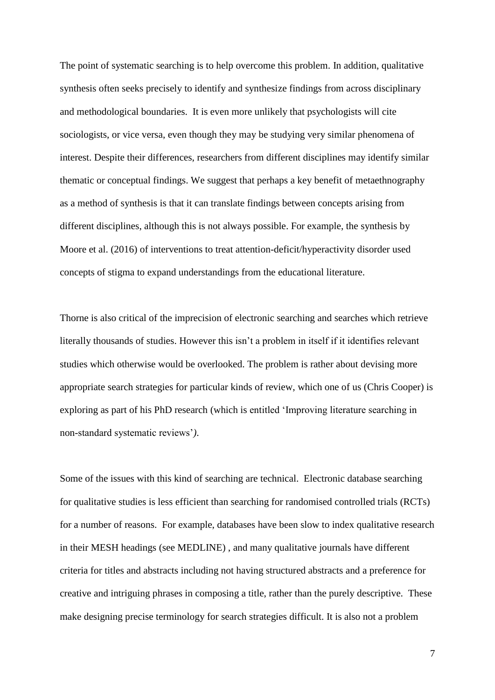The point of systematic searching is to help overcome this problem. In addition, qualitative synthesis often seeks precisely to identify and synthesize findings from across disciplinary and methodological boundaries. It is even more unlikely that psychologists will cite sociologists, or vice versa, even though they may be studying very similar phenomena of interest. Despite their differences, researchers from different disciplines may identify similar thematic or conceptual findings. We suggest that perhaps a key benefit of metaethnography as a method of synthesis is that it can translate findings between concepts arising from different disciplines, although this is not always possible. For example, the synthesis by Moore et al. (2016) of interventions to treat attention-deficit/hyperactivity disorder used concepts of stigma to expand understandings from the educational literature.

Thorne is also critical of the imprecision of electronic searching and searches which retrieve literally thousands of studies. However this isn't a problem in itself if it identifies relevant studies which otherwise would be overlooked. The problem is rather about devising more appropriate search strategies for particular kinds of review, which one of us (Chris Cooper) is exploring as part of his PhD research (which is entitled 'Improving literature searching in non-standard systematic reviews'*)*.

Some of the issues with this kind of searching are technical. Electronic database searching for qualitative studies is less efficient than searching for randomised controlled trials (RCTs) for a number of reasons. For example, databases have been slow to index qualitative research in their MESH headings (see MEDLINE) , and many qualitative journals have different criteria for titles and abstracts including not having structured abstracts and a preference for creative and intriguing phrases in composing a title, rather than the purely descriptive. These make designing precise terminology for search strategies difficult. It is also not a problem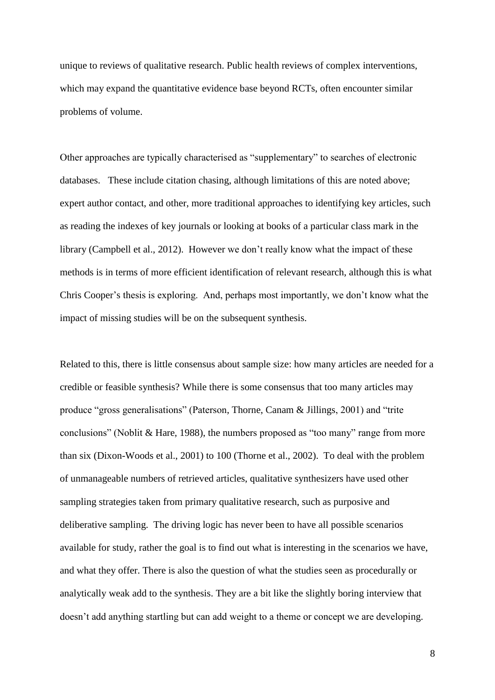unique to reviews of qualitative research. Public health reviews of complex interventions, which may expand the quantitative evidence base beyond RCTs, often encounter similar problems of volume.

Other approaches are typically characterised as "supplementary" to searches of electronic databases. These include citation chasing, although limitations of this are noted above; expert author contact, and other, more traditional approaches to identifying key articles, such as reading the indexes of key journals or looking at books of a particular class mark in the library (Campbell et al., 2012). However we don't really know what the impact of these methods is in terms of more efficient identification of relevant research, although this is what Chris Cooper's thesis is exploring. And, perhaps most importantly, we don't know what the impact of missing studies will be on the subsequent synthesis.

Related to this, there is little consensus about sample size: how many articles are needed for a credible or feasible synthesis? While there is some consensus that too many articles may produce "gross generalisations" (Paterson, Thorne, Canam & Jillings, 2001) and "trite conclusions" (Noblit & Hare, 1988), the numbers proposed as "too many" range from more than six (Dixon-Woods et al., 2001) to 100 (Thorne et al., 2002). To deal with the problem of unmanageable numbers of retrieved articles, qualitative synthesizers have used other sampling strategies taken from primary qualitative research, such as purposive and deliberative sampling. The driving logic has never been to have all possible scenarios available for study, rather the goal is to find out what is interesting in the scenarios we have, and what they offer. There is also the question of what the studies seen as procedurally or analytically weak add to the synthesis. They are a bit like the slightly boring interview that doesn't add anything startling but can add weight to a theme or concept we are developing.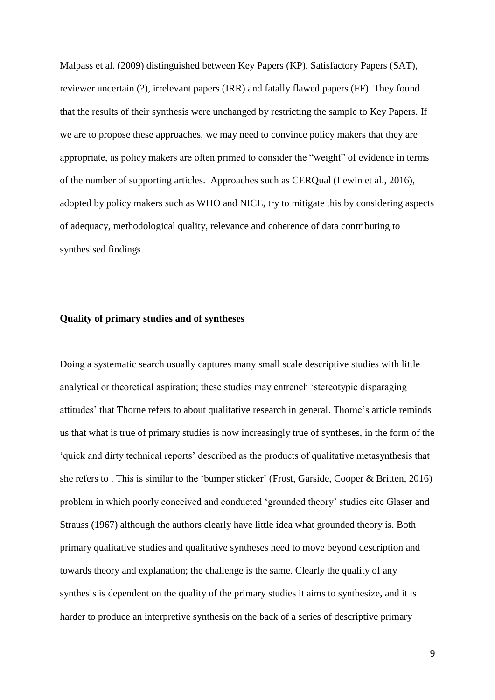Malpass et al. (2009) distinguished between Key Papers (KP), Satisfactory Papers (SAT), reviewer uncertain (?), irrelevant papers (IRR) and fatally flawed papers (FF). They found that the results of their synthesis were unchanged by restricting the sample to Key Papers. If we are to propose these approaches, we may need to convince policy makers that they are appropriate, as policy makers are often primed to consider the "weight" of evidence in terms of the number of supporting articles. Approaches such as CERQual (Lewin et al., 2016), adopted by policy makers such as WHO and NICE, try to mitigate this by considering aspects of adequacy, methodological quality, relevance and coherence of data contributing to synthesised findings.

### **Quality of primary studies and of syntheses**

Doing a systematic search usually captures many small scale descriptive studies with little analytical or theoretical aspiration; these studies may entrench 'stereotypic disparaging attitudes' that Thorne refers to about qualitative research in general. Thorne's article reminds us that what is true of primary studies is now increasingly true of syntheses, in the form of the 'quick and dirty technical reports' described as the products of qualitative metasynthesis that she refers to . This is similar to the 'bumper sticker' (Frost, Garside, Cooper & Britten, 2016) problem in which poorly conceived and conducted 'grounded theory' studies cite Glaser and Strauss (1967) although the authors clearly have little idea what grounded theory is. Both primary qualitative studies and qualitative syntheses need to move beyond description and towards theory and explanation; the challenge is the same. Clearly the quality of any synthesis is dependent on the quality of the primary studies it aims to synthesize, and it is harder to produce an interpretive synthesis on the back of a series of descriptive primary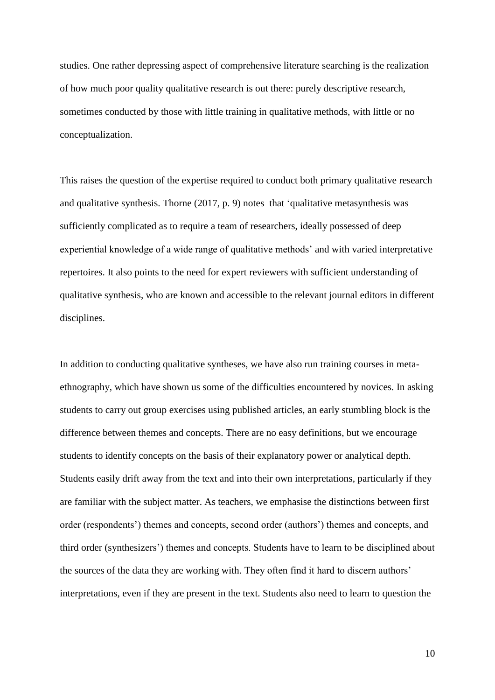studies. One rather depressing aspect of comprehensive literature searching is the realization of how much poor quality qualitative research is out there: purely descriptive research, sometimes conducted by those with little training in qualitative methods, with little or no conceptualization.

This raises the question of the expertise required to conduct both primary qualitative research and qualitative synthesis. Thorne (2017, p. 9) notes that 'qualitative metasynthesis was sufficiently complicated as to require a team of researchers, ideally possessed of deep experiential knowledge of a wide range of qualitative methods' and with varied interpretative repertoires. It also points to the need for expert reviewers with sufficient understanding of qualitative synthesis, who are known and accessible to the relevant journal editors in different disciplines.

In addition to conducting qualitative syntheses, we have also run training courses in metaethnography, which have shown us some of the difficulties encountered by novices. In asking students to carry out group exercises using published articles, an early stumbling block is the difference between themes and concepts. There are no easy definitions, but we encourage students to identify concepts on the basis of their explanatory power or analytical depth. Students easily drift away from the text and into their own interpretations, particularly if they are familiar with the subject matter. As teachers, we emphasise the distinctions between first order (respondents') themes and concepts, second order (authors') themes and concepts, and third order (synthesizers') themes and concepts. Students have to learn to be disciplined about the sources of the data they are working with. They often find it hard to discern authors' interpretations, even if they are present in the text. Students also need to learn to question the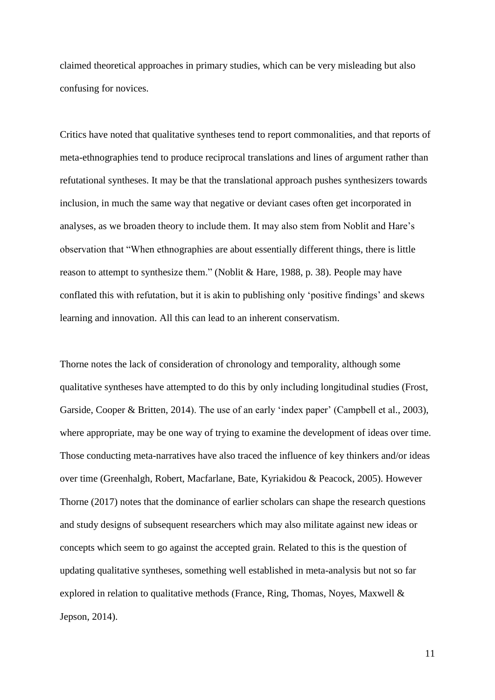claimed theoretical approaches in primary studies, which can be very misleading but also confusing for novices.

Critics have noted that qualitative syntheses tend to report commonalities, and that reports of meta-ethnographies tend to produce reciprocal translations and lines of argument rather than refutational syntheses. It may be that the translational approach pushes synthesizers towards inclusion, in much the same way that negative or deviant cases often get incorporated in analyses, as we broaden theory to include them. It may also stem from Noblit and Hare's observation that "When ethnographies are about essentially different things, there is little reason to attempt to synthesize them." (Noblit & Hare, 1988, p. 38). People may have conflated this with refutation, but it is akin to publishing only 'positive findings' and skews learning and innovation. All this can lead to an inherent conservatism.

Thorne notes the lack of consideration of chronology and temporality, although some qualitative syntheses have attempted to do this by only including longitudinal studies (Frost, Garside, Cooper & Britten, 2014). The use of an early 'index paper' (Campbell et al., 2003), where appropriate, may be one way of trying to examine the development of ideas over time. Those conducting meta-narratives have also traced the influence of key thinkers and/or ideas over time (Greenhalgh, Robert, Macfarlane, Bate, Kyriakidou & Peacock, 2005). However Thorne (2017) notes that the dominance of earlier scholars can shape the research questions and study designs of subsequent researchers which may also militate against new ideas or concepts which seem to go against the accepted grain. Related to this is the question of updating qualitative syntheses, something well established in meta-analysis but not so far explored in relation to qualitative methods (France, Ring, Thomas, Noyes, Maxwell & Jepson, 2014).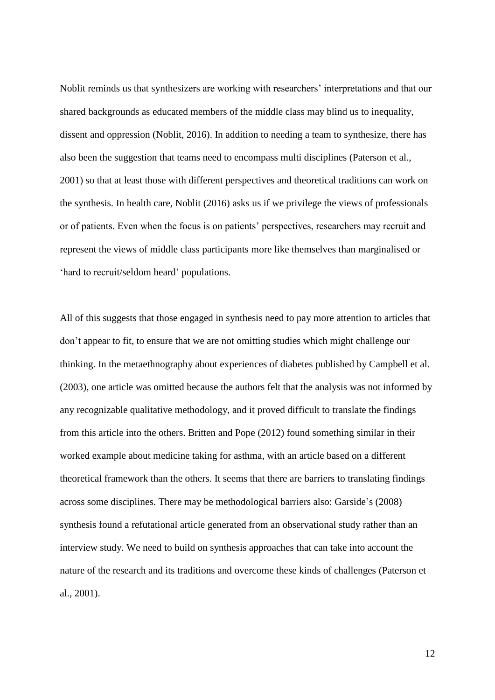Noblit reminds us that synthesizers are working with researchers' interpretations and that our shared backgrounds as educated members of the middle class may blind us to inequality, dissent and oppression (Noblit, 2016). In addition to needing a team to synthesize, there has also been the suggestion that teams need to encompass multi disciplines (Paterson et al., 2001) so that at least those with different perspectives and theoretical traditions can work on the synthesis. In health care, Noblit (2016) asks us if we privilege the views of professionals or of patients. Even when the focus is on patients' perspectives, researchers may recruit and represent the views of middle class participants more like themselves than marginalised or 'hard to recruit/seldom heard' populations.

All of this suggests that those engaged in synthesis need to pay more attention to articles that don't appear to fit, to ensure that we are not omitting studies which might challenge our thinking. In the metaethnography about experiences of diabetes published by Campbell et al. (2003), one article was omitted because the authors felt that the analysis was not informed by any recognizable qualitative methodology, and it proved difficult to translate the findings from this article into the others. Britten and Pope (2012) found something similar in their worked example about medicine taking for asthma, with an article based on a different theoretical framework than the others. It seems that there are barriers to translating findings across some disciplines. There may be methodological barriers also: Garside's (2008) synthesis found a refutational article generated from an observational study rather than an interview study. We need to build on synthesis approaches that can take into account the nature of the research and its traditions and overcome these kinds of challenges (Paterson et al., 2001).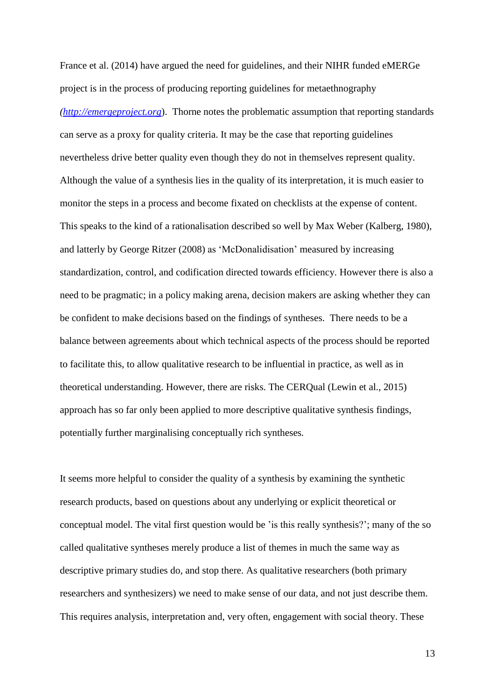France et al. (2014) have argued the need for guidelines, and their NIHR funded eMERGe project is in the process of producing reporting guidelines for metaethnography *[\(http://emergeproject.org](http://emergeproject.org/)*). Thorne notes the problematic assumption that reporting standards can serve as a proxy for quality criteria. It may be the case that reporting guidelines nevertheless drive better quality even though they do not in themselves represent quality. Although the value of a synthesis lies in the quality of its interpretation, it is much easier to monitor the steps in a process and become fixated on checklists at the expense of content. This speaks to the kind of a rationalisation described so well by Max Weber (Kalberg, 1980), and latterly by George Ritzer (2008) as 'McDonalidisation' measured by increasing standardization, control, and codification directed towards efficiency. However there is also a need to be pragmatic; in a policy making arena, decision makers are asking whether they can be confident to make decisions based on the findings of syntheses. There needs to be a balance between agreements about which technical aspects of the process should be reported to facilitate this, to allow qualitative research to be influential in practice, as well as in theoretical understanding. However, there are risks. The CERQual (Lewin et al., 2015) approach has so far only been applied to more descriptive qualitative synthesis findings, potentially further marginalising conceptually rich syntheses*.*

It seems more helpful to consider the quality of a synthesis by examining the synthetic research products, based on questions about any underlying or explicit theoretical or conceptual model. The vital first question would be 'is this really synthesis?'; many of the so called qualitative syntheses merely produce a list of themes in much the same way as descriptive primary studies do, and stop there. As qualitative researchers (both primary researchers and synthesizers) we need to make sense of our data, and not just describe them. This requires analysis, interpretation and, very often, engagement with social theory. These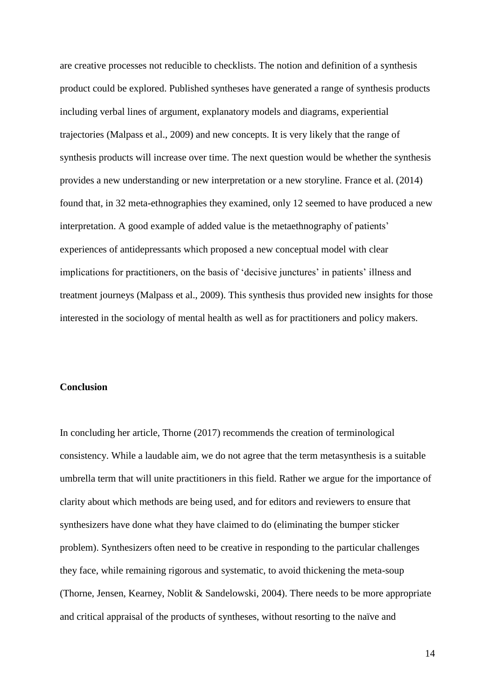are creative processes not reducible to checklists. The notion and definition of a synthesis product could be explored. Published syntheses have generated a range of synthesis products including verbal lines of argument, explanatory models and diagrams, experiential trajectories (Malpass et al., 2009) and new concepts. It is very likely that the range of synthesis products will increase over time. The next question would be whether the synthesis provides a new understanding or new interpretation or a new storyline. France et al. (2014) found that, in 32 meta-ethnographies they examined, only 12 seemed to have produced a new interpretation. A good example of added value is the metaethnography of patients' experiences of antidepressants which proposed a new conceptual model with clear implications for practitioners, on the basis of 'decisive junctures' in patients' illness and treatment journeys (Malpass et al., 2009). This synthesis thus provided new insights for those interested in the sociology of mental health as well as for practitioners and policy makers.

# **Conclusion**

In concluding her article, Thorne (2017) recommends the creation of terminological consistency. While a laudable aim, we do not agree that the term metasynthesis is a suitable umbrella term that will unite practitioners in this field. Rather we argue for the importance of clarity about which methods are being used, and for editors and reviewers to ensure that synthesizers have done what they have claimed to do (eliminating the bumper sticker problem). Synthesizers often need to be creative in responding to the particular challenges they face, while remaining rigorous and systematic, to avoid thickening the meta-soup (Thorne, Jensen, Kearney, Noblit & Sandelowski, 2004). There needs to be more appropriate and critical appraisal of the products of syntheses, without resorting to the naïve and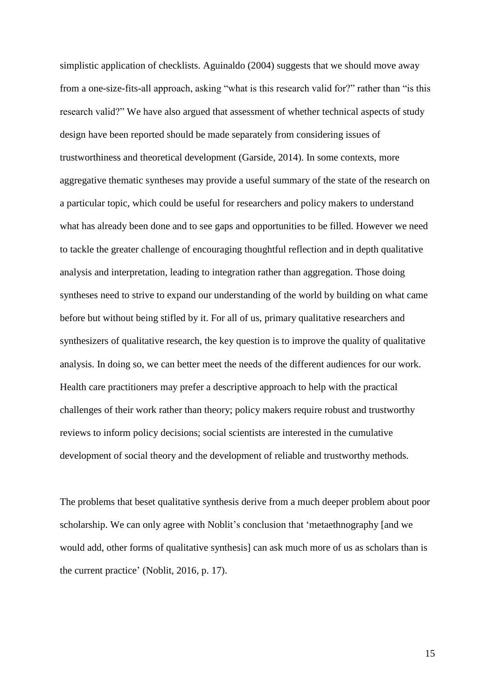simplistic application of checklists. Aguinaldo (2004) suggests that we should move away from a one-size-fits-all approach, asking "what is this research valid for?" rather than "is this research valid?" We have also argued that assessment of whether technical aspects of study design have been reported should be made separately from considering issues of trustworthiness and theoretical development (Garside, 2014). In some contexts, more aggregative thematic syntheses may provide a useful summary of the state of the research on a particular topic, which could be useful for researchers and policy makers to understand what has already been done and to see gaps and opportunities to be filled. However we need to tackle the greater challenge of encouraging thoughtful reflection and in depth qualitative analysis and interpretation, leading to integration rather than aggregation. Those doing syntheses need to strive to expand our understanding of the world by building on what came before but without being stifled by it. For all of us, primary qualitative researchers and synthesizers of qualitative research, the key question is to improve the quality of qualitative analysis. In doing so, we can better meet the needs of the different audiences for our work. Health care practitioners may prefer a descriptive approach to help with the practical challenges of their work rather than theory; policy makers require robust and trustworthy reviews to inform policy decisions; social scientists are interested in the cumulative development of social theory and the development of reliable and trustworthy methods.

The problems that beset qualitative synthesis derive from a much deeper problem about poor scholarship. We can only agree with Noblit's conclusion that 'metaethnography [and we would add, other forms of qualitative synthesis] can ask much more of us as scholars than is the current practice' (Noblit, 2016, p. 17).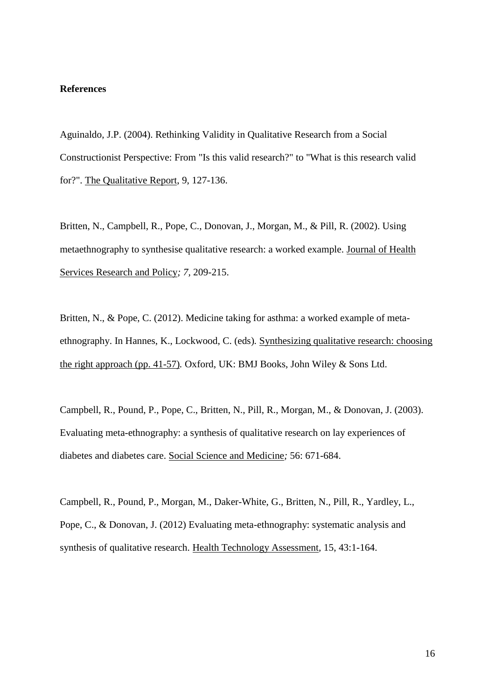## **References**

Aguinaldo, J.P. (2004). Rethinking Validity in Qualitative Research from a Social Constructionist Perspective: From "Is this valid research?" to "What is this research valid for?". The Qualitative Report, 9, 127-136.

Britten, N., Campbell, R., Pope, C., Donovan, J., Morgan, M., & Pill, R. (2002). Using metaethnography to synthesise qualitative research: a worked example. Journal of Health Services Research and Policy*; 7,* 209-215.

Britten, N., & Pope, C. (2012). Medicine taking for asthma: a worked example of metaethnography. In Hannes, K., Lockwood, C. (eds)*.* Synthesizing qualitative research: choosing the right approach (pp. 41-57)*.* Oxford, UK: BMJ Books, John Wiley & Sons Ltd.

Campbell, R., Pound, P., Pope, C., Britten, N., Pill, R., Morgan, M., & Donovan, J. (2003). Evaluating meta-ethnography: a synthesis of qualitative research on lay experiences of diabetes and diabetes care. Social Science and Medicine*;* 56: 671-684.

Campbell, R., Pound, P., Morgan, M., Daker-White, G., Britten, N., Pill, R., Yardley, L., Pope, C., & Donovan, J. (2012) Evaluating meta-ethnography: systematic analysis and synthesis of qualitative research. Health Technology Assessment*,* 15, 43:1-164.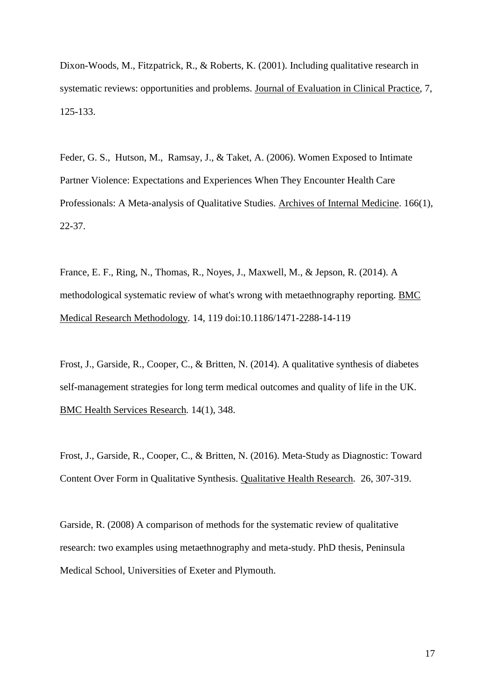Dixon-Woods, M., Fitzpatrick, R., & Roberts, K. (2001). Including qualitative research in systematic reviews: opportunities and problems. Journal of Evaluation in Clinical Practice, 7, 125-133.

Feder, G. S., Hutson, M., Ramsay, J., & Taket, A. (2006). Women Exposed to Intimate Partner Violence: Expectations and Experiences When They Encounter Health Care Professionals: A Meta-analysis of Qualitative Studies. Archives of Internal Medicine. 166(1), 22-37.

France, E. F., Ring, N., Thomas, R., Noyes, J., Maxwell, M., & Jepson, R. (2014). A methodological systematic review of what's wrong with metaethnography reporting. BMC Medical Research Methodology*.* 14, 119 doi:10.1186/1471-2288-14-119

Frost, J., Garside, R., Cooper, C., & Britten, N. (2014). A qualitative synthesis of diabetes self-management strategies for long term medical outcomes and quality of life in the UK. BMC Health Services Research*.* 14(1), 348.

Frost, J., Garside, R., Cooper, C., & Britten, N. (2016). Meta-Study as Diagnostic: Toward Content Over Form in Qualitative Synthesis. Qualitative Health Research*.* 26, 307-319.

Garside, R. (2008) A comparison of methods for the systematic review of qualitative research: two examples using metaethnography and meta-study. PhD thesis, Peninsula Medical School, Universities of Exeter and Plymouth.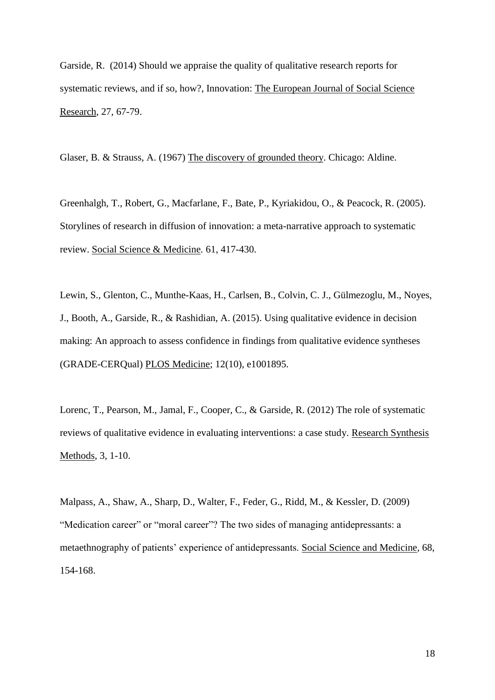Garside, R. (2014) Should we appraise the quality of qualitative research reports for systematic reviews, and if so, how?, Innovation: The European Journal of Social Science Research, 27, 67-79.

Glaser, B. & Strauss, A. (1967) The discovery of grounded theory. Chicago: Aldine.

Greenhalgh, T., Robert, G., Macfarlane, F., Bate, P., Kyriakidou, O., & Peacock, R. (2005). Storylines of research in diffusion of innovation: a meta-narrative approach to systematic review. Social Science & Medicine*.* 61, 417-430.

Lewin, S., Glenton, C., Munthe-Kaas, H., Carlsen, B., Colvin, C. J., Gülmezoglu, M., Noyes, J., Booth, A., Garside, R., & Rashidian, A. (2015). Using qualitative evidence in decision making: An approach to assess confidence in findings from qualitative evidence syntheses (GRADE-CERQual) PLOS Medicine; 12(10), e1001895.

Lorenc, T., Pearson, M., Jamal, F., Cooper, C., & Garside, R. (2012) The role of systematic reviews of qualitative evidence in evaluating interventions: a case study. Research Synthesis Methods, 3, 1-10.

Malpass, A., Shaw, A., Sharp, D., Walter, F., Feder, G., Ridd, M., & Kessler, D. (2009) "Medication career" or "moral career"? The two sides of managing antidepressants: a metaethnography of patients' experience of antidepressants. Social Science and Medicine, 68, 154-168.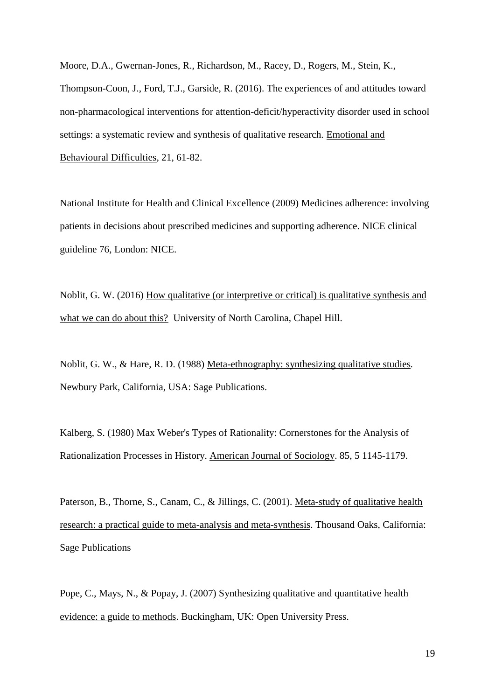Moore, D.A., Gwernan-Jones, R., Richardson, M., Racey, D., Rogers, M., Stein, K., Thompson-Coon, J., Ford, T.J., Garside, R. (2016). The experiences of and attitudes toward non-pharmacological interventions for attention-deficit/hyperactivity disorder used in school settings: a systematic review and synthesis of qualitative research. Emotional and Behavioural Difficulties, 21, 61-82.

National Institute for Health and Clinical Excellence (2009) Medicines adherence: involving patients in decisions about prescribed medicines and supporting adherence. NICE clinical guideline 76, London: NICE.

Noblit, G. W. (2016) How qualitative (or interpretive or critical) is qualitative synthesis and what we can do about this? University of North Carolina, Chapel Hill.

Noblit, G. W., & Hare, R. D. (1988) Meta-ethnography: synthesizing qualitative studies*.* Newbury Park, California, USA: Sage Publications.

Kalberg, S. (1980) Max Weber's Types of Rationality: Cornerstones for the Analysis of Rationalization Processes in History. American Journal of Sociology. 85, 5 1145-1179.

Paterson, B., Thorne, S., Canam, C., & Jillings, C. (2001). Meta-study of qualitative health research: a practical guide to meta-analysis and meta-synthesis. Thousand Oaks, California: Sage Publications

Pope, C., Mays, N., & Popay, J. (2007) Synthesizing qualitative and quantitative health evidence: a guide to methods. Buckingham, UK: Open University Press.